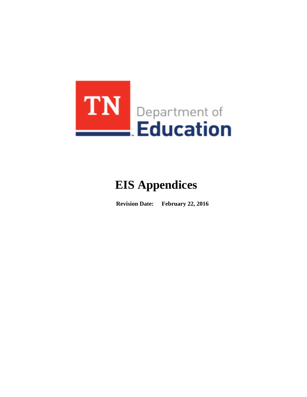

# **EIS Appendices**

**Revision Date: February 22, 2016**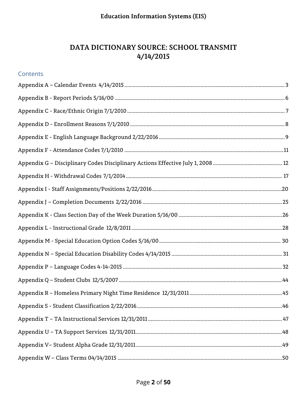#### DATA DICTIONARY SOURCE: SCHOOL TRANSMIT  $4/14/2015$

| Contents |  |
|----------|--|
|          |  |
|          |  |
|          |  |
|          |  |
|          |  |
|          |  |
|          |  |
|          |  |
|          |  |
|          |  |
|          |  |
|          |  |
|          |  |
|          |  |
|          |  |
|          |  |
|          |  |
|          |  |
|          |  |
|          |  |
|          |  |
|          |  |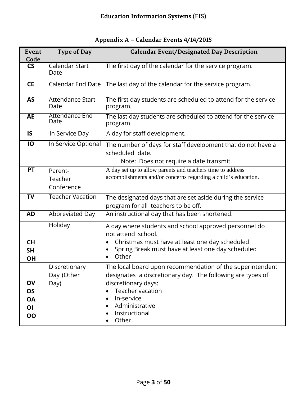|  | Appendix A – Calendar Events 4/14/2015 |  |
|--|----------------------------------------|--|
|--|----------------------------------------|--|

<span id="page-2-0"></span>

| Event<br>Code                                   | Type of Day                         | <b>Calendar Event/Designated Day Description</b>                                                                                                                                                                                                                    |
|-------------------------------------------------|-------------------------------------|---------------------------------------------------------------------------------------------------------------------------------------------------------------------------------------------------------------------------------------------------------------------|
| <b>CS</b>                                       | Calendar Start<br>Date              | The first day of the calendar for the service program.                                                                                                                                                                                                              |
| <b>CE</b>                                       | <b>Calendar End Date</b>            | The last day of the calendar for the service program.                                                                                                                                                                                                               |
| <b>AS</b>                                       | <b>Attendance Start</b><br>Date     | The first day students are scheduled to attend for the service<br>program.                                                                                                                                                                                          |
| <b>AE</b>                                       | <b>Attendance End</b><br>Date       | The last day students are scheduled to attend for the service<br>program                                                                                                                                                                                            |
| IS                                              | In Service Day                      | A day for staff development.                                                                                                                                                                                                                                        |
| IO                                              | In Service Optional                 | The number of days for staff development that do not have a<br>scheduled date.<br>Note: Does not require a date transmit.                                                                                                                                           |
| <b>PT</b>                                       | Parent-<br>Teacher<br>Conference    | A day set up to allow parents and teachers time to address<br>accomplishments and/or concerns regarding a child's education.                                                                                                                                        |
| <b>TV</b>                                       | <b>Teacher Vacation</b>             | The designated days that are set aside during the service<br>program for all teachers to be off.                                                                                                                                                                    |
| <b>AD</b>                                       | Abbreviated Day                     | An instructional day that has been shortened.                                                                                                                                                                                                                       |
| <b>CH</b><br><b>SH</b><br><b>OH</b>             | Holiday                             | A day where students and school approved personnel do<br>not attend school.<br>Christmas must have at least one day scheduled<br>Spring Break must have at least one day scheduled<br>Other                                                                         |
| OV<br><b>OS</b><br><b>OA</b><br>OI<br><b>OO</b> | Discretionary<br>Day (Other<br>Day) | The local board upon recommendation of the superintendent<br>designates a discretionary day. The following are types of<br>discretionary days:<br>Teacher vacation<br>$\bullet$<br>In-service<br>$\bullet$<br>Administrative<br>$\bullet$<br>Instructional<br>Other |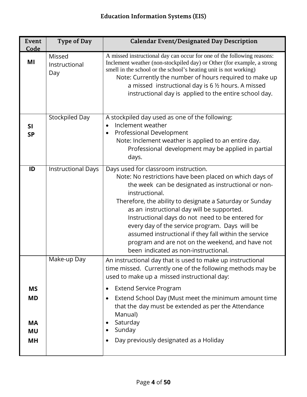| Event<br>Code                                          | Type of Day                    | <b>Calendar Event/Designated Day Description</b>                                                                                                                                                                                                                                                                                                                                                                                                                                                                                              |
|--------------------------------------------------------|--------------------------------|-----------------------------------------------------------------------------------------------------------------------------------------------------------------------------------------------------------------------------------------------------------------------------------------------------------------------------------------------------------------------------------------------------------------------------------------------------------------------------------------------------------------------------------------------|
| MI                                                     | Missed<br>Instructional<br>Day | A missed instructional day can occur for one of the following reasons:<br>Inclement weather (non-stockpiled day) or Other (for example, a strong<br>smell in the school or the school's heating unit is not working)<br>Note: Currently the number of hours required to make up<br>a missed instructional day is 6 1/2 hours. A missed<br>instructional day is applied to the entire school day.                                                                                                                                              |
| <b>SI</b><br><b>SP</b>                                 | Stockpiled Day                 | A stockpiled day used as one of the following:<br>Inclement weather<br>$\bullet$<br>Professional Development<br>$\bullet$<br>Note: Inclement weather is applied to an entire day.<br>Professional development may be applied in partial<br>days.                                                                                                                                                                                                                                                                                              |
| ID                                                     | <b>Instructional Days</b>      | Days used for classroom instruction.<br>Note: No restrictions have been placed on which days of<br>the week can be designated as instructional or non-<br>instructional.<br>Therefore, the ability to designate a Saturday or Sunday<br>as an instructional day will be supported.<br>Instructional days do not need to be entered for<br>every day of the service program. Days will be<br>assumed instructional if they fall within the service<br>program and are not on the weekend, and have not<br>been indicated as non-instructional. |
|                                                        | Make-up Day                    | An instructional day that is used to make up instructional<br>time missed. Currently one of the following methods may be<br>used to make up a missed instructional day:                                                                                                                                                                                                                                                                                                                                                                       |
| <b>MS</b><br><b>MD</b><br><b>MA</b><br><b>MU</b><br>МH |                                | <b>Extend Service Program</b><br>$\bullet$<br>Extend School Day (Must meet the minimum amount time<br>$\bullet$<br>that the day must be extended as per the Attendance<br>Manual)<br>Saturday<br>Sunday<br>٠<br>Day previously designated as a Holiday<br>$\bullet$                                                                                                                                                                                                                                                                           |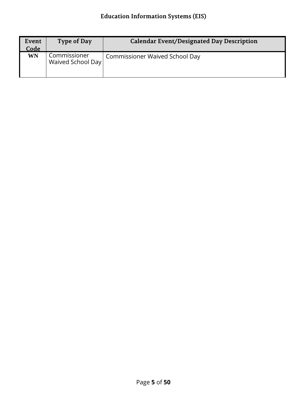| Event<br>Code | Type of Day                       | <b>Calendar Event/Designated Day Description</b> |
|---------------|-----------------------------------|--------------------------------------------------|
| WN            | Commissioner<br>Waived School Day | <b>Commissioner Waived School Day</b>            |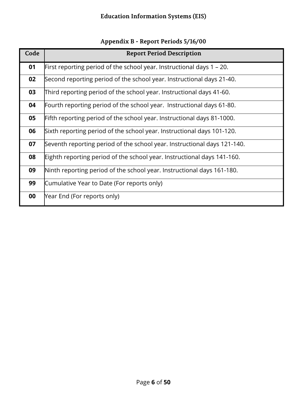|  | Appendix B - Report Periods 5/16/00 |  |
|--|-------------------------------------|--|
|--|-------------------------------------|--|

<span id="page-5-0"></span>

| Code | <b>Report Period Description</b>                                         |
|------|--------------------------------------------------------------------------|
| 01   | First reporting period of the school year. Instructional days $1 - 20$ . |
| 02   | Second reporting period of the school year. Instructional days 21-40.    |
| 03   | Third reporting period of the school year. Instructional days 41-60.     |
| 04   | Fourth reporting period of the school year. Instructional days 61-80.    |
| 05   | Fifth reporting period of the school year. Instructional days 81-1000.   |
| 06   | Sixth reporting period of the school year. Instructional days 101-120.   |
| 07   | Seventh reporting period of the school year. Instructional days 121-140. |
| 08   | Eighth reporting period of the school year. Instructional days 141-160.  |
| 09   | Ninth reporting period of the school year. Instructional days 161-180.   |
| 99   | Cumulative Year to Date (For reports only)                               |
| 00   | Year End (For reports only)                                              |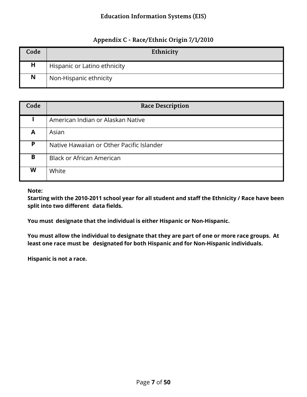#### **Appendix C - Race/Ethnic Origin 7/1/2010**

<span id="page-6-0"></span>

| Code | Ethnicity                    |
|------|------------------------------|
| н    | Hispanic or Latino ethnicity |
| N    | Non-Hispanic ethnicity       |

| Code | <b>Race Description</b>                   |
|------|-------------------------------------------|
|      | American Indian or Alaskan Native         |
| A    | Asian                                     |
| P    | Native Hawaiian or Other Pacific Islander |
| B    | <b>Black or African American</b>          |
| W    | White                                     |

**Note:**

**Starting with the 2010-2011 school year for all student and staff the Ethnicity / Race have been split into two different data fields.**

**You must designate that the individual is either Hispanic or Non-Hispanic.**

**You must allow the individual to designate that they are part of one or more race groups. At least one race must be designated for both Hispanic and for Non-Hispanic individuals.**

**Hispanic is not a race.**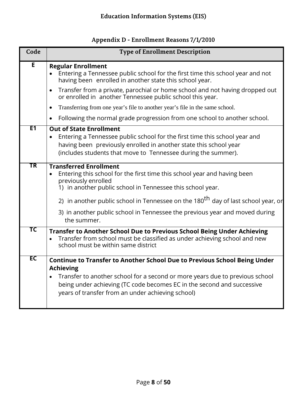<span id="page-7-0"></span>

| Code           | <b>Type of Enrollment Description</b>                                                                                                                                                                                                                                                                                                                                          |
|----------------|--------------------------------------------------------------------------------------------------------------------------------------------------------------------------------------------------------------------------------------------------------------------------------------------------------------------------------------------------------------------------------|
| E              | <b>Regular Enrollment</b><br>Entering a Tennessee public school for the first time this school year and not<br>having been enrolled in another state this school year.                                                                                                                                                                                                         |
|                | Transfer from a private, parochial or home school and not having dropped out<br>$\bullet$<br>or enrolled in another Tennessee public school this year.                                                                                                                                                                                                                         |
|                | Transferring from one year's file to another year's file in the same school.<br>$\bullet$                                                                                                                                                                                                                                                                                      |
|                | Following the normal grade progression from one school to another school.<br>$\bullet$                                                                                                                                                                                                                                                                                         |
| E <sub>1</sub> | <b>Out of State Enrollment</b><br>Entering a Tennessee public school for the first time this school year and<br>having been previously enrolled in another state this school year<br>(includes students that move to Tennessee during the summer).                                                                                                                             |
| TR             | <b>Transferred Enrollment</b><br>Entering this school for the first time this school year and having been<br>previously enrolled<br>1) in another public school in Tennessee this school year.<br>2) in another public school in Tennessee on the 180 <sup>th</sup> day of last school year, or<br>3) in another public school in Tennessee the previous year and moved during |
|                | the summer.                                                                                                                                                                                                                                                                                                                                                                    |
| ТC             | Transfer to Another School Due to Previous School Being Under Achieving<br>Transfer from school must be classified as under achieving school and new<br>school must be within same district                                                                                                                                                                                    |
| EC             | <b>Continue to Transfer to Another School Due to Previous School Being Under</b><br><b>Achieving</b><br>Transfer to another school for a second or more years due to previous school<br>being under achieving (TC code becomes EC in the second and successive<br>years of transfer from an under achieving school)                                                            |

# **Appendix D - Enrollment Reasons 7/1/2010**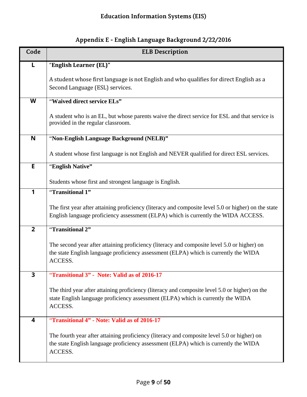<span id="page-8-0"></span>

| Code                    | <b>ELB Description</b>                                                                                                                                                                         |
|-------------------------|------------------------------------------------------------------------------------------------------------------------------------------------------------------------------------------------|
| L                       | "English Learner (EL)"                                                                                                                                                                         |
|                         | A student whose first language is not English and who qualifies for direct English as a<br>Second Language (ESL) services.                                                                     |
| W                       | "Waived direct service ELs"                                                                                                                                                                    |
|                         | A student who is an EL, but whose parents waive the direct service for ESL and that service is<br>provided in the regular classroom.                                                           |
| N                       | "Non-English Language Background (NELB)"                                                                                                                                                       |
|                         | A student whose first language is not English and NEVER qualified for direct ESL services.                                                                                                     |
| E                       | "English Native"                                                                                                                                                                               |
|                         | Students whose first and strongest language is English.                                                                                                                                        |
| 1                       | "Transitional 1"                                                                                                                                                                               |
|                         | The first year after attaining proficiency (literacy and composite level 5.0 or higher) on the state<br>English language proficiency assessment (ELPA) which is currently the WIDA ACCESS.     |
| $\overline{2}$          | "Transitional 2"                                                                                                                                                                               |
|                         | The second year after attaining proficiency (literacy and composite level 5.0 or higher) on<br>the state English language proficiency assessment (ELPA) which is currently the WIDA<br>ACCESS. |
| $\overline{\mathbf{3}}$ | "Transitional 3" - Note: Valid as of 2016-17                                                                                                                                                   |
|                         | The third year after attaining proficiency (literacy and composite level 5.0 or higher) on the<br>state English language proficiency assessment (ELPA) which is currently the WIDA<br>ACCESS.  |
| 4                       | "Transitional 4" - Note: Valid as of 2016-17                                                                                                                                                   |
|                         | The fourth year after attaining proficiency (literacy and composite level 5.0 or higher) on<br>the state English language proficiency assessment (ELPA) which is currently the WIDA<br>ACCESS. |

# **Appendix E - English Language Background 2/22/2016**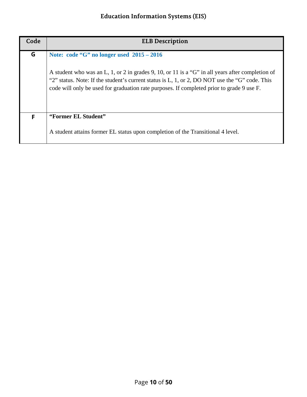| Code | <b>ELB Description</b>                                                                                                                                                                                                                                                                          |
|------|-------------------------------------------------------------------------------------------------------------------------------------------------------------------------------------------------------------------------------------------------------------------------------------------------|
| G    | Note: code "G" no longer used $2015 - 2016$                                                                                                                                                                                                                                                     |
|      | A student who was an L, 1, or 2 in grades 9, 10, or 11 is a "G" in all years after completion of<br>"2" status. Note: If the student's current status is L, 1, or 2, DO NOT use the "G" code. This<br>code will only be used for graduation rate purposes. If completed prior to grade 9 use F. |
| F    | "Former EL Student"                                                                                                                                                                                                                                                                             |
|      | A student attains former EL status upon completion of the Transitional 4 level.                                                                                                                                                                                                                 |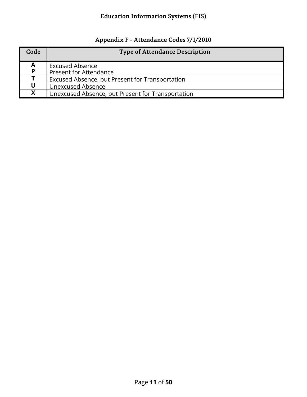# **Appendix F - Attendance Codes 7/1/2010**

<span id="page-10-0"></span>

| Code | <b>Type of Attendance Description</b>             |
|------|---------------------------------------------------|
|      | Excused Absence                                   |
| Þ    | <b>Present for Attendance</b>                     |
|      | Excused Absence, but Present for Transportation   |
|      | Unexcused Absence                                 |
| Y    | Unexcused Absence, but Present for Transportation |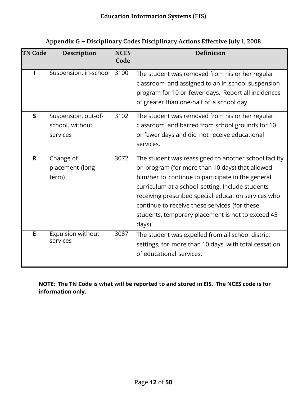<span id="page-11-0"></span>

| <b>TN Code</b> | Description                                        | <b>NCES</b><br>Code | <b>Definition</b>                                                                                                                                                                                                                                                                                                                                                                        |
|----------------|----------------------------------------------------|---------------------|------------------------------------------------------------------------------------------------------------------------------------------------------------------------------------------------------------------------------------------------------------------------------------------------------------------------------------------------------------------------------------------|
|                | Suspension, in-school                              | 3100                | The student was removed from his or her regular<br>classroom and assigned to an in-school suspension<br>program for 10 or fewer days. Report all incidences<br>of greater than one-half of a school day.                                                                                                                                                                                 |
| $\mathsf{S}$   | Suspension, out-of-<br>school, without<br>services | 3102                | The student was removed from his or her regular<br>classroom and barred from school grounds for 10<br>or fewer days and did not receive educational<br>services.                                                                                                                                                                                                                         |
| $\mathbf R$    | Change of<br>placement (long-<br>term)             | 3072                | The student was reassigned to another school facility<br>or program (for more than 10 days) that allowed<br>him/her to continue to participate in the general<br>curriculum at a school setting. Include students<br>receiving prescribed special education services who<br>continue to receive these services (for these<br>students, temporary placement is not to exceed 45<br>days). |
| E              | <b>Expulsion without</b><br>services               | 3087                | The student was expelled from all school district<br>settings, for more than 10 days, with total cessation<br>of educational services.                                                                                                                                                                                                                                                   |

#### **Appendix G – Disciplinary Codes Disciplinary Actions Effective July 1, 2008**

**NOTE: The TN Code is what will be reported to and stored in EIS. The NCES code is for information only.**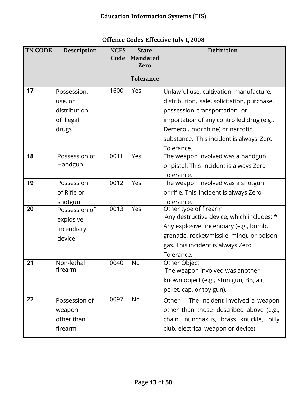| <b>TN CODE</b> | Description           | <b>NCES</b><br>Code | <b>State</b><br><b>Mandated</b> | <b>Definition</b>                               |
|----------------|-----------------------|---------------------|---------------------------------|-------------------------------------------------|
|                |                       |                     | Zero                            |                                                 |
|                |                       |                     | <b>Tolerance</b>                |                                                 |
| 17             | Possession,           | 1600                | Yes                             | Unlawful use, cultivation, manufacture,         |
|                | use, or               |                     |                                 | distribution, sale, solicitation, purchase,     |
|                | distribution          |                     |                                 | possession, transportation, or                  |
|                | of illegal            |                     |                                 | importation of any controlled drug (e.g.,       |
|                | drugs                 |                     |                                 | Demerol, morphine) or narcotic                  |
|                |                       |                     |                                 | substance. This incident is always Zero         |
|                |                       |                     |                                 | Tolerance.                                      |
| 18             | Possession of         | 0011                | Yes                             | The weapon involved was a handgun               |
|                | Handgun               |                     |                                 | or pistol. This incident is always Zero         |
|                |                       |                     |                                 | Tolerance.                                      |
| 19             | Possession            | 0012                | Yes                             | The weapon involved was a shotgun               |
|                | of Rifle or           |                     |                                 | or rifle. This incident is always Zero          |
|                | shotgun               |                     |                                 | Tolerance.                                      |
| 20             | Possession of         | 0013                | Yes                             | Other type of firearm                           |
|                | explosive,            |                     |                                 | Any destructive device, which includes: *       |
|                | incendiary            |                     |                                 | Any explosive, incendiary (e.g., bomb,          |
|                | device                |                     |                                 | grenade, rocket/missile, mine), or poison       |
|                |                       |                     |                                 | gas. This incident is always Zero               |
|                |                       | 0040                |                                 | Tolerance.                                      |
| 21             | Non-lethal<br>firearm |                     | <b>No</b>                       | Other Object<br>The weapon involved was another |
|                |                       |                     |                                 | known object (e.g., stun gun, BB, air,          |
|                |                       |                     |                                 |                                                 |
|                |                       |                     |                                 | pellet, cap, or toy gun).                       |
| 22             | Possession of         | 0097                | No.                             | Other - The incident involved a weapon          |
|                | weapon                |                     |                                 | other than those described above (e.g.,         |
|                | other than            |                     |                                 | chain, nunchakus, brass knuckle, billy          |
|                | firearm               |                     |                                 | club, electrical weapon or device).             |

# **Offence Codes Effective July 1, 2008**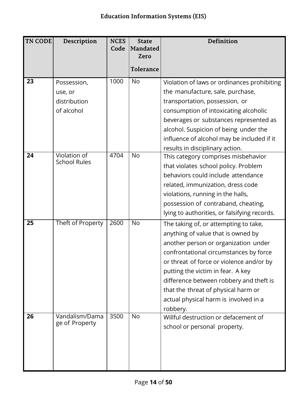| <b>TN CODE</b> | Description                         | <b>NCES</b><br>Code | <b>State</b><br><b>Mandated</b> | Definition                                   |
|----------------|-------------------------------------|---------------------|---------------------------------|----------------------------------------------|
|                |                                     |                     | Zero                            |                                              |
|                |                                     |                     | <b>Tolerance</b>                |                                              |
| 23             | Possession,                         | 1000                | <b>No</b>                       | Violation of laws or ordinances prohibiting  |
|                | use, or                             |                     |                                 | the manufacture, sale, purchase,             |
|                | distribution                        |                     |                                 | transportation, possession, or               |
|                | of alcohol                          |                     |                                 | consumption of intoxicating alcoholic        |
|                |                                     |                     |                                 | beverages or substances represented as       |
|                |                                     |                     |                                 | alcohol. Suspicion of being under the        |
|                |                                     |                     |                                 | influence of alcohol may be included if it   |
|                |                                     |                     |                                 | results in disciplinary action.              |
| 24             | Violation of<br><b>School Rules</b> | 4704                | <b>No</b>                       | This category comprises misbehavior          |
|                |                                     |                     |                                 | that violates school policy. Problem         |
|                |                                     |                     |                                 | behaviors could include attendance           |
|                |                                     |                     |                                 | related, immunization, dress code            |
|                |                                     |                     |                                 | violations, running in the halls,            |
|                |                                     |                     |                                 | possession of contraband, cheating,          |
|                |                                     |                     |                                 | lying to authorities, or falsifying records. |
| 25             | Theft of Property                   | 2600                | No                              | The taking of, or attempting to take,        |
|                |                                     |                     |                                 | anything of value that is owned by           |
|                |                                     |                     |                                 | another person or organization under         |
|                |                                     |                     |                                 | confrontational circumstances by force       |
|                |                                     |                     |                                 | or threat of force or violence and/or by     |
|                |                                     |                     |                                 | putting the victim in fear. A key            |
|                |                                     |                     |                                 | difference between robbery and theft is      |
|                |                                     |                     |                                 | that the threat of physical harm or          |
|                |                                     |                     |                                 | actual physical harm is involved in a        |
|                |                                     |                     |                                 | robbery.                                     |
| 26             | Vandalism/Dama<br>ge of Property    | 3500                | No                              | Willful destruction or defacement of         |
|                |                                     |                     |                                 | school or personal property.                 |
|                |                                     |                     |                                 |                                              |
|                |                                     |                     |                                 |                                              |
|                |                                     |                     |                                 |                                              |
|                |                                     |                     |                                 |                                              |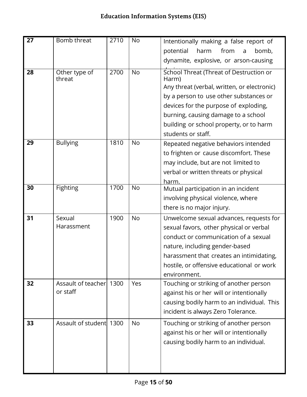| 27 | Bomb threat             | 2710 | No        | Intentionally making a false report of           |
|----|-------------------------|------|-----------|--------------------------------------------------|
|    |                         |      |           | from<br>potential<br>harm<br>bomb,<br>a          |
|    |                         |      |           | dynamite, explosive, or arson-causing            |
| 28 | Other type of<br>threat | 2700 | <b>No</b> | School Threat (Threat of Destruction or<br>Harm) |
|    |                         |      |           | Any threat (verbal, written, or electronic)      |
|    |                         |      |           | by a person to use other substances or           |
|    |                         |      |           | devices for the purpose of exploding,            |
|    |                         |      |           | burning, causing damage to a school              |
|    |                         |      |           | building or school property, or to harm          |
|    |                         |      |           | students or staff.                               |
| 29 | <b>Bullying</b>         | 1810 | <b>No</b> | Repeated negative behaviors intended             |
|    |                         |      |           | to frighten or cause discomfort. These           |
|    |                         |      |           | may include, but are not limited to              |
|    |                         |      |           | verbal or written threats or physical            |
|    |                         |      |           | harm.                                            |
| 30 | <b>Fighting</b>         | 1700 | <b>No</b> | Mutual participation in an incident              |
|    |                         |      |           | involving physical violence, where               |
|    |                         |      |           | there is no major injury.                        |
| 31 | Sexual                  | 1900 | <b>No</b> | Unwelcome sexual advances, requests for          |
|    | Harassment              |      |           | sexual favors, other physical or verbal          |
|    |                         |      |           | conduct or communication of a sexual             |
|    |                         |      |           | nature, including gender-based                   |
|    |                         |      |           | harassment that creates an intimidating,         |
|    |                         |      |           | hostile, or offensive educational or work        |
|    |                         |      |           | environment.                                     |
| 32 | Assault of teacher 1300 |      | Yes       | Touching or striking of another person           |
|    | or staff                |      |           | against his or her will or intentionally         |
|    |                         |      |           | causing bodily harm to an individual. This       |
|    |                         |      |           | incident is always Zero Tolerance.               |
| 33 | Assault of student 1300 |      | <b>No</b> | Touching or striking of another person           |
|    |                         |      |           | against his or her will or intentionally         |
|    |                         |      |           | causing bodily harm to an individual.            |
|    |                         |      |           |                                                  |
|    |                         |      |           |                                                  |
|    |                         |      |           |                                                  |

ı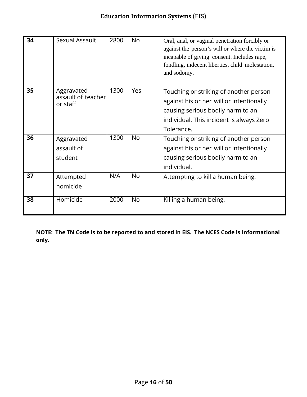| 34 | Sexual Assault                               | 2800 | <b>No</b>  | Oral, anal, or vaginal penetration forcibly or<br>against the person's will or where the victim is<br>incapable of giving consent. Includes rape,<br>fondling, indecent liberties, child molestation,<br>and sodomy. |
|----|----------------------------------------------|------|------------|----------------------------------------------------------------------------------------------------------------------------------------------------------------------------------------------------------------------|
| 35 | Aggravated<br>assault of teacher<br>or staff | 1300 | <b>Yes</b> | Touching or striking of another person<br>against his or her will or intentionally<br>causing serious bodily harm to an<br>individual. This incident is always Zero<br>Tolerance.                                    |
| 36 | Aggravated<br>assault of<br>student          | 1300 | <b>No</b>  | Touching or striking of another person<br>against his or her will or intentionally<br>causing serious bodily harm to an<br>individual.                                                                               |
| 37 | Attempted<br>homicide                        | N/A  | <b>No</b>  | Attempting to kill a human being.                                                                                                                                                                                    |
| 38 | Homicide                                     | 2000 | <b>No</b>  | Killing a human being.                                                                                                                                                                                               |

**NOTE: The TN Code is to be reported to and stored in EIS. The NCES Code is informational only.**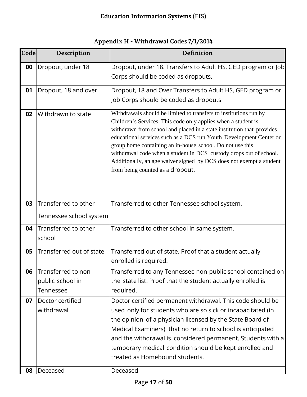<span id="page-16-0"></span>

| Code | Description                                             | Definition                                                                                                                                                                                                                                                                                                                                                                                                                                                                                                                      |
|------|---------------------------------------------------------|---------------------------------------------------------------------------------------------------------------------------------------------------------------------------------------------------------------------------------------------------------------------------------------------------------------------------------------------------------------------------------------------------------------------------------------------------------------------------------------------------------------------------------|
| 00   | Dropout, under 18                                       | Dropout, under 18. Transfers to Adult HS, GED program or Job<br>Corps should be coded as dropouts.                                                                                                                                                                                                                                                                                                                                                                                                                              |
| 01   | Dropout, 18 and over                                    | Dropout, 18 and Over Transfers to Adult HS, GED program or<br>Job Corps should be coded as dropouts                                                                                                                                                                                                                                                                                                                                                                                                                             |
| 02   | Withdrawn to state                                      | Withdrawals should be limited to transfers to institutions run by<br>Children's Services. This code only applies when a student is<br>withdrawn from school and placed in a state institution that provides<br>educational services such as a DCS run Youth Development Center or<br>group home containing an in-house school. Do not use this<br>withdrawal code when a student in DCS custody drops out of school.<br>Additionally, an age waiver signed by DCS does not exempt a student<br>from being counted as a dropout. |
| 03   | Transferred to other<br>Tennessee school system         | Transferred to other Tennessee school system.                                                                                                                                                                                                                                                                                                                                                                                                                                                                                   |
| 04   | Transferred to other<br>school                          | Transferred to other school in same system.                                                                                                                                                                                                                                                                                                                                                                                                                                                                                     |
| 05   | Transferred out of state                                | Transferred out of state. Proof that a student actually<br>enrolled is required.                                                                                                                                                                                                                                                                                                                                                                                                                                                |
|      | 06 Transferred to non-<br>public school in<br>Tennessee | Transferred to any Tennessee non-public school contained on<br>the state list. Proof that the student actually enrolled is<br>required.                                                                                                                                                                                                                                                                                                                                                                                         |
| 07   | Doctor certified<br>withdrawal                          | Doctor certified permanent withdrawal. This code should be<br>used only for students who are so sick or incapacitated (in<br>the opinion of a physician licensed by the State Board of<br>Medical Examiners) that no return to school is anticipated<br>and the withdrawal is considered permanent. Students with a<br>temporary medical condition should be kept enrolled and<br>treated as Homebound students.                                                                                                                |
| 08   | Deceased                                                | Deceased                                                                                                                                                                                                                                                                                                                                                                                                                                                                                                                        |

#### **Appendix H - Withdrawal Codes 7/1/2014**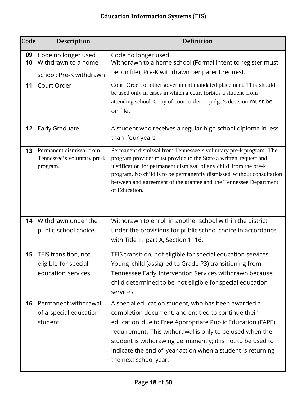| Code | Description                                                         | <b>Definition</b>                                                                                                                                                                                                                                                                                                                                                                          |
|------|---------------------------------------------------------------------|--------------------------------------------------------------------------------------------------------------------------------------------------------------------------------------------------------------------------------------------------------------------------------------------------------------------------------------------------------------------------------------------|
| 09   | Code no longer used                                                 | Code no longer used                                                                                                                                                                                                                                                                                                                                                                        |
| 10   | Withdrawn to a home                                                 | Withdrawn to a home school (Formal intent to register must                                                                                                                                                                                                                                                                                                                                 |
|      | school; Pre-K withdrawn                                             | be on file); Pre-K withdrawn per parent request.                                                                                                                                                                                                                                                                                                                                           |
| 11   | Court Order                                                         | Court Order, or other government mandated placement. This should<br>be used only in cases in which a court forbids a student from<br>attending school. Copy of court order or judge's decision must be<br>on file.                                                                                                                                                                         |
| 12   | Early Graduate                                                      | A student who receives a regular high school diploma in less<br>than four years                                                                                                                                                                                                                                                                                                            |
| 13   | Permanent dismissal from<br>Tennessee's voluntary pre-k<br>program. | Permanent dismissal from Tennessee's voluntary pre-k program. The<br>program provider must provide to the State a written request and<br>justification for permanent dismissal of any child from the pre-k<br>program. No child is to be permanently dismissed without consultation<br>between and agreement of the grantee and the Tennessee Department<br>of Education.                  |
| 14   | Withdrawn under the                                                 | Withdrawn to enroll in another school within the district                                                                                                                                                                                                                                                                                                                                  |
|      | public school choice                                                | under the provisions for public school choice in accordance<br>with Title 1, part A, Section 1116.                                                                                                                                                                                                                                                                                         |
| 15   | TEIS transition, not                                                | TEIS transition, not eligible for special education services.                                                                                                                                                                                                                                                                                                                              |
|      | eligible for special                                                | Young child (assigned to Grade P3) transitioning from                                                                                                                                                                                                                                                                                                                                      |
|      | education services                                                  | Tennessee Early Intervention Services withdrawn because<br>child determined to be not eligible for special education<br>services.                                                                                                                                                                                                                                                          |
| 16   | Permanent withdrawal<br>of a special education<br>student           | A special education student, who has been awarded a<br>completion document, and entitled to continue their<br>education due to Free Appropriate Public Education (FAPE)<br>requirement. This withdrawal is only to be used when the<br>student is withdrawing permanently; it is not to be used to<br>indicate the end of year action when a student is returning<br>the next school year. |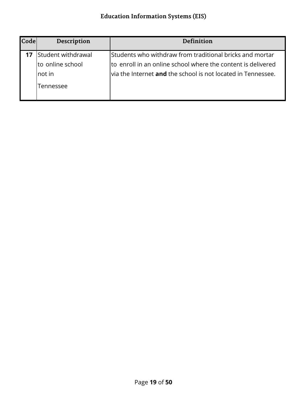| <b>Code</b> | Description                                                    | <b>Definition</b>                                                                                                                                                                               |
|-------------|----------------------------------------------------------------|-------------------------------------------------------------------------------------------------------------------------------------------------------------------------------------------------|
|             | Student withdrawal<br>to online school<br>Inot in<br>Tennessee | Students who withdraw from traditional bricks and mortar<br>to enroll in an online school where the content is delivered<br>via the Internet <b>and</b> the school is not located in Tennessee. |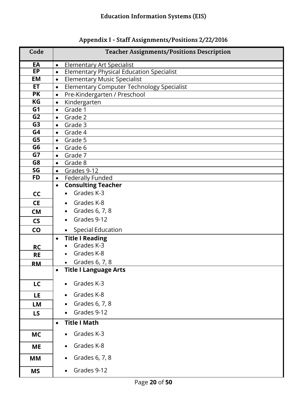<span id="page-19-0"></span>

| Code           | <b>Teacher Assignments/Positions Description</b>                 |
|----------------|------------------------------------------------------------------|
| EA             | <b>Elementary Art Specialist</b><br>$\bullet$                    |
| EP             | <b>Elementary Physical Education Specialist</b><br>$\bullet$     |
| <b>EM</b>      | <b>Elementary Music Specialist</b><br>$\bullet$                  |
| <b>ET</b>      | <b>Elementary Computer Technology Specialist</b><br>$\bullet$    |
| <b>PK</b>      | Pre-Kindergarten / Preschool<br>$\bullet$                        |
| KG             | Kindergarten<br>$\bullet$                                        |
| G <sub>1</sub> | Grade 1<br>$\bullet$                                             |
| G <sub>2</sub> | Grade 2<br>$\bullet$                                             |
| G <sub>3</sub> | Grade 3<br>$\bullet$                                             |
| G <sub>4</sub> | Grade 4<br>$\bullet$                                             |
| G5             | Grade 5<br>$\bullet$                                             |
| G <sub>6</sub> | Grade 6<br>$\bullet$                                             |
| G7<br>G8       | Grade 7<br>$\bullet$                                             |
| SG             | Grade 8<br>$\bullet$                                             |
| <b>FD</b>      | Grades 9-12<br>$\bullet$<br><b>Federally Funded</b><br>$\bullet$ |
|                | <b>Consulting Teacher</b><br>$\bullet$                           |
| cc             | Grades K-3                                                       |
| <b>CE</b>      | Grades K-8<br>$\bullet$                                          |
| <b>CM</b>      | Grades 6, 7, 8                                                   |
| <b>CS</b>      | Grades 9-12                                                      |
| CO             | <b>Special Education</b><br>$\bullet$                            |
|                | <b>Title I Reading</b><br>$\bullet$                              |
| <b>RC</b>      | Grades K-3                                                       |
| <b>RE</b>      | Grades K-8                                                       |
| <b>RM</b>      | Grades 6, 7, 8<br>$\bullet$                                      |
|                | <b>Title I Language Arts</b><br>$\bullet$                        |
| LC             | Grades K-3                                                       |
| <b>LE</b>      | Grades K-8                                                       |
|                |                                                                  |
| LM             | Grades 6, 7, 8                                                   |
| <b>LS</b>      | Grades 9-12                                                      |
|                | <b>Title I Math</b><br>$\bullet$                                 |
| <b>MC</b>      | Grades K-3                                                       |
| <b>ME</b>      | Grades K-8                                                       |
| МM             | Grades 6, 7, 8                                                   |
| <b>MS</b>      | Grades 9-12                                                      |

# **Appendix I - Staff Assignments/Positions 2/22/2016**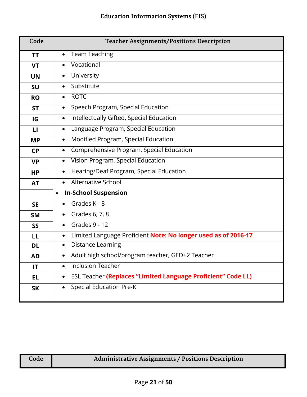| Code         | <b>Teacher Assignments/Positions Description</b>                                 |
|--------------|----------------------------------------------------------------------------------|
| ΤT           | <b>Team Teaching</b><br>$\bullet$                                                |
| <b>VT</b>    | Vocational                                                                       |
| <b>UN</b>    | University<br>$\bullet$                                                          |
| <b>SU</b>    | Substitute<br>$\bullet$                                                          |
| <b>RO</b>    | <b>ROTC</b><br>$\bullet$                                                         |
| <b>ST</b>    | Speech Program, Special Education<br>$\bullet$                                   |
| IG           | Intellectually Gifted, Special Education<br>$\bullet$                            |
| $\mathbf{L}$ | Language Program, Special Education<br>$\bullet$                                 |
| <b>MP</b>    | Modified Program, Special Education<br>$\bullet$                                 |
| <b>CP</b>    | Comprehensive Program, Special Education<br>$\bullet$                            |
| <b>VP</b>    | Vision Program, Special Education<br>$\bullet$                                   |
| <b>HP</b>    | Hearing/Deaf Program, Special Education<br>$\bullet$                             |
| <b>AT</b>    | Alternative School<br>$\bullet$                                                  |
|              | <b>In-School Suspension</b><br>$\bullet$                                         |
| <b>SE</b>    | Grades K - 8                                                                     |
| <b>SM</b>    | Grades 6, 7, 8                                                                   |
| <b>SS</b>    | Grades 9 - 12                                                                    |
| LL           | Limited Language Proficient Note: No longer used as of 2016-17<br>$\bullet$      |
| <b>DL</b>    | <b>Distance Learning</b><br>$\bullet$                                            |
| AD           | Adult high school/program teacher, GED+2 Teacher<br>$\bullet$                    |
| IT           | <b>Inclusion Teacher</b><br>$\bullet$                                            |
| <b>EL</b>    | <b>ESL Teacher (Replaces "Limited Language Proficient" Code LL)</b><br>$\bullet$ |
| <b>SK</b>    | <b>Special Education Pre-K</b><br>$\bullet$                                      |

#### **Code Administrative Assignments / Positions Description**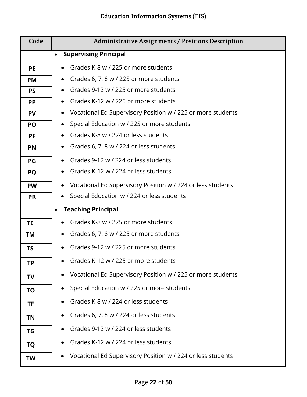| Code      | <b>Administrative Assignments / Positions Description</b>   |
|-----------|-------------------------------------------------------------|
|           | <b>Supervising Principal</b><br>$\bullet$                   |
| <b>PE</b> | Grades K-8 w / 225 or more students                         |
| <b>PM</b> | Grades 6, 7, 8 w / 225 or more students<br>$\bullet$        |
| <b>PS</b> | Grades 9-12 w / 225 or more students                        |
| <b>PP</b> | Grades K-12 w / 225 or more students                        |
| <b>PV</b> | Vocational Ed Supervisory Position w / 225 or more students |
| PO        | Special Education w / 225 or more students<br>$\bullet$     |
| <b>PF</b> | Grades K-8 w / 224 or less students<br>$\bullet$            |
| <b>PN</b> | Grades 6, 7, 8 w / 224 or less students<br>$\bullet$        |
| PG        | Grades 9-12 w / 224 or less students<br>$\bullet$           |
| <b>PQ</b> | Grades K-12 w / 224 or less students<br>$\bullet$           |
| <b>PW</b> | Vocational Ed Supervisory Position w / 224 or less students |
| <b>PR</b> | Special Education w / 224 or less students                  |
|           | <b>Teaching Principal</b>                                   |
| <b>TE</b> | Grades K-8 w / 225 or more students                         |
| <b>TM</b> | Grades 6, 7, 8 w / 225 or more students<br>$\bullet$        |
| <b>TS</b> | Grades 9-12 w / 225 or more students                        |
| ΤP        | Grades K-12 w / 225 or more students                        |
| TV        | Vocational Ed Supervisory Position w / 225 or more students |
| ΤO        | Special Education w / 225 or more students                  |
| <b>TF</b> | Grades K-8 w / 224 or less students                         |
| TN        | Grades 6, 7, 8 w / 224 or less students                     |
| ΤG        | Grades 9-12 w / 224 or less students                        |
| <b>TQ</b> | Grades K-12 w / 224 or less students                        |
| TW        | Vocational Ed Supervisory Position w / 224 or less students |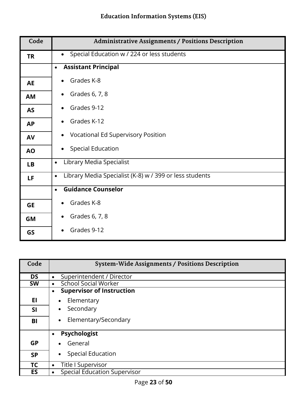| Code      | <b>Administrative Assignments / Positions Description</b>            |
|-----------|----------------------------------------------------------------------|
| <b>TR</b> | Special Education w / 224 or less students                           |
|           | <b>Assistant Principal</b><br>$\bullet$                              |
| <b>AE</b> | Grades K-8                                                           |
| <b>AM</b> | Grades 6, 7, 8                                                       |
| <b>AS</b> | Grades 9-12                                                          |
| <b>AP</b> | Grades K-12                                                          |
| AV        | <b>Vocational Ed Supervisory Position</b>                            |
| <b>AO</b> | <b>Special Education</b>                                             |
| <b>LB</b> | Library Media Specialist<br>$\bullet$                                |
| LF        | Library Media Specialist (K-8) w / 399 or less students<br>$\bullet$ |
|           | <b>Guidance Counselor</b><br>$\bullet$                               |
| <b>GE</b> | Grades K-8                                                           |
| GM        | Grades 6, 7, 8                                                       |
| GS        | Grades 9-12                                                          |

| Code      | <b>System-Wide Assignments / Positions Description</b> |
|-----------|--------------------------------------------------------|
| <b>DS</b> | Superintendent / Director<br>$\bullet$                 |
| <b>SW</b> | <b>School Social Worker</b><br>$\bullet$               |
|           | <b>Supervisor of Instruction</b><br>$\bullet$          |
| EI        | Elementary                                             |
| <b>SI</b> | Secondary<br>$\bullet$                                 |
| BI        | Elementary/Secondary                                   |
|           | <b>Psychologist</b><br>$\bullet$                       |
| <b>GP</b> | General<br>$\bullet$                                   |
| <b>SP</b> | <b>Special Education</b><br>$\bullet$                  |
| TC        | Title I Supervisor<br>$\bullet$                        |
| ES        | <b>Special Education Supervisor</b>                    |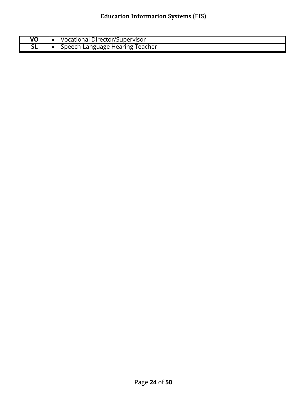| VO | Vocational Director/Supervisor  |
|----|---------------------------------|
|    | Speech-Language Hearing Teacher |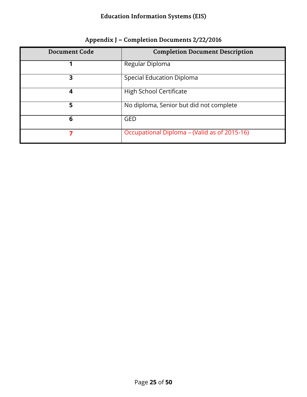<span id="page-24-0"></span>

| <b>Document Code</b> | <b>Completion Document Description</b>       |
|----------------------|----------------------------------------------|
|                      | Regular Diploma                              |
| 3                    | <b>Special Education Diploma</b>             |
| 4                    | High School Certificate                      |
| 5                    | No diploma, Senior but did not complete      |
| 6                    | <b>GED</b>                                   |
|                      | Occupational Diploma – (Valid as of 2015-16) |

#### **Appendix J – Completion Documents 2/22/2016**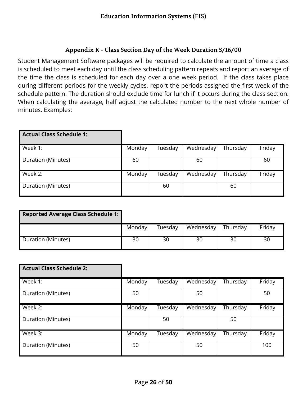#### **Appendix K - Class Section Day of the Week Duration 5/16/00**

<span id="page-25-0"></span>Student Management Software packages will be required to calculate the amount of time a class is scheduled to meet each day until the class scheduling pattern repeats and report an average of the time the class is scheduled for each day over a one week period. If the class takes place during different periods for the weekly cycles, report the periods assigned the first week of the schedule pattern. The duration should exclude time for lunch if it occurs during the class section. When calculating the average, half adjust the calculated number to the next whole number of minutes. Examples:

| <b>Actual Class Schedule 1:</b> |        |         |           |          |        |
|---------------------------------|--------|---------|-----------|----------|--------|
| Week 1:                         | Monday | Tuesday | Wednesday | Thursday | Friday |
| Duration (Minutes)              | 60     |         | 60        |          | 60     |
| Week 2:                         | Monday | Tuesday | Wednesday | Thursday | Friday |
| Duration (Minutes)              |        | 60      |           | 60       |        |

| <b>Reported Average Class Schedule 1:</b> |        |         |           |          |        |
|-------------------------------------------|--------|---------|-----------|----------|--------|
|                                           | Monday | Tuesdav | Wednesday | Thursday | Friday |
| Duration (Minutes)                        | 30     | 30      | 30        | 30       | 30     |

| <b>Actual Class Schedule 2:</b> |        |         |           |          |        |
|---------------------------------|--------|---------|-----------|----------|--------|
| Week 1:                         | Monday | Tuesday | Wednesday | Thursday | Friday |
| Duration (Minutes)              | 50     |         | 50        |          | 50     |
| Week 2:                         | Monday | Tuesday | Wednesday | Thursday | Friday |
| Duration (Minutes)              |        | 50      |           | 50       |        |
| Week 3:                         | Monday | Tuesday | Wednesday | Thursday | Friday |
| Duration (Minutes)              | 50     |         | 50        |          | 100    |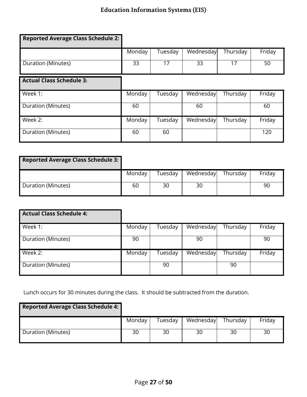| <b>Reported Average Class Schedule 2:</b> |        |         |           |          |        |
|-------------------------------------------|--------|---------|-----------|----------|--------|
|                                           | Monday | Tuesday | Wednesday | Thursday | Friday |
| Duration (Minutes)                        | 33     | 17      | 33        | 17       | 50     |
| <b>Actual Class Schedule 3:</b>           |        |         |           |          |        |
| Week 1:                                   | Monday | Tuesday | Wednesday | Thursday | Friday |
| Duration (Minutes)                        | 60     |         | 60        |          | 60     |
| Week 2:                                   | Monday | Tuesday | Wednesday | Thursday | Friday |
| Duration (Minutes)                        | 60     | 60      |           |          | 120    |

| <b>Reported Average Class Schedule 3:</b> |        |         |           |          |        |
|-------------------------------------------|--------|---------|-----------|----------|--------|
|                                           | Monday | Tuesday | Wednesday | Thursday | Friday |
| Duration (Minutes)                        | 60     | 30      | 30        |          | 90     |

| <b>Actual Class Schedule 4:</b> |        |         |           |          |        |
|---------------------------------|--------|---------|-----------|----------|--------|
| Week 1:                         | Monday | Tuesday | Wednesday | Thursday | Friday |
| Duration (Minutes)              | 90     |         | 90        |          | 90     |
| Week 2:                         | Monday | Tuesday | Wednesday | Thursday | Friday |
| Duration (Minutes)              |        | 90      |           | 90       |        |

Lunch occurs for 30 minutes during the class. It should be subtracted from the duration.

| <b>Reported Average Class Schedule 4:</b> |        |         |           |          |        |
|-------------------------------------------|--------|---------|-----------|----------|--------|
|                                           | Monday | Tuesday | Wednesday | Thursday | Friday |
| Duration (Minutes)                        | 30     | 30      | 30        | 30       | 30     |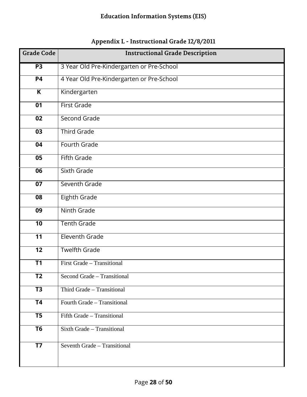<span id="page-27-0"></span>

| <b>Grade Code</b>       | <b>Instructional Grade Description</b>    |
|-------------------------|-------------------------------------------|
| <b>P3</b>               | 3 Year Old Pre-Kindergarten or Pre-School |
| <b>P4</b>               | 4 Year Old Pre-Kindergarten or Pre-School |
| $\overline{\mathsf{K}}$ | Kindergarten                              |
| 01                      | <b>First Grade</b>                        |
| 02                      | Second Grade                              |
| 03                      | <b>Third Grade</b>                        |
| 04                      | Fourth Grade                              |
| $\overline{05}$         | <b>Fifth Grade</b>                        |
| 06                      | Sixth Grade                               |
| $\overline{07}$         | Seventh Grade                             |
| 08                      | <b>Eighth Grade</b>                       |
| 09                      | Ninth Grade                               |
| 10                      | <b>Tenth Grade</b>                        |
| $\overline{11}$         | Eleventh Grade                            |
| 12                      | <b>Twelfth Grade</b>                      |
| T1                      | First Grade - Transitional                |
| <b>T2</b>               | Second Grade - Transitional               |
| $\overline{13}$         | Third Grade - Transitional                |
| <b>T4</b>               | Fourth Grade - Transitional               |
| T <sub>5</sub>          | Fifth Grade - Transitional                |
| T <sub>6</sub>          | Sixth Grade - Transitional                |
| <b>T7</b>               | Seventh Grade - Transitional              |

#### **Appendix L - Instructional Grade 12/8/2011**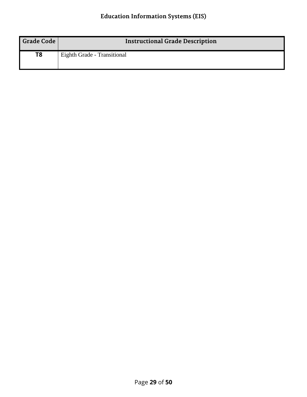| <b>Grade Code</b> | <b>Instructional Grade Description</b> |
|-------------------|----------------------------------------|
| T8                | Eighth Grade - Transitional            |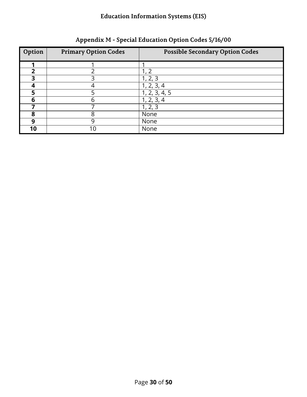<span id="page-29-0"></span>

| Option | <b>Primary Option Codes</b> | <b>Possible Secondary Option Codes</b> |
|--------|-----------------------------|----------------------------------------|
|        |                             |                                        |
| າ      |                             |                                        |
|        |                             | 1, 2, 3                                |
|        |                             | 1, 2, 3, 4                             |
| 5      |                             | 1, 2, 3, 4, 5                          |
| 6      |                             | 1, 2, 3, 4                             |
|        |                             | 1, 2, 3                                |
| 8      |                             | None                                   |
| 9      |                             | None                                   |
| 10     |                             | None                                   |

**Appendix M - Special Education Option Codes 5/16/00**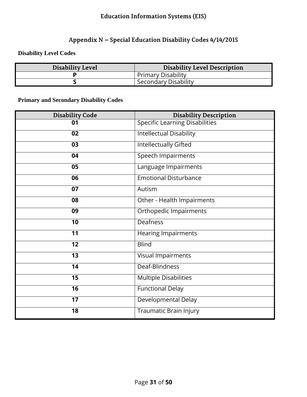#### **Appendix N – Special Education Disability Codes 4/14/2015**

<span id="page-30-0"></span>**Disability Level Codes**

| <b>Disability Level</b> | <b>Disability Level Description</b> |
|-------------------------|-------------------------------------|
|                         | <b>Primary Disability</b>           |
|                         | Secondary Disability                |

**Primary and Secondary Disability Codes**

| <b>Disability Code</b>   | <b>Disability Description</b>         |
|--------------------------|---------------------------------------|
| 01                       | <b>Specific Learning Disabilities</b> |
| 02                       | <b>Intellectual Disability</b>        |
| 03                       | <b>Intellectually Gifted</b>          |
| 04                       | <b>Speech Impairments</b>             |
| 05                       | Language Impairments                  |
| 06                       | <b>Emotional Disturbance</b>          |
| 07                       | Autism                                |
| 08                       | Other - Health Impairments            |
| 09                       | <b>Orthopedic Impairments</b>         |
| 10                       | Deafness                              |
| $\overline{11}$          | <b>Hearing Impairments</b>            |
| 12                       | <b>Blind</b>                          |
| 13                       | Visual Impairments                    |
| 14                       | Deaf-Blindness                        |
| $\overline{15}$          | <b>Multiple Disabilities</b>          |
| $\overline{\mathbf{16}}$ | <b>Functional Delay</b>               |
| 17                       | Developmental Delay                   |
| $\overline{18}$          | Traumatic Brain Injury                |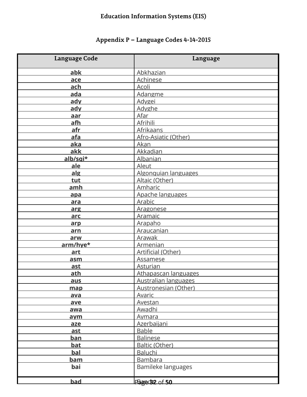# **Appendix P – Language Codes 4-14-2015**

<span id="page-31-0"></span>

| Language Code | Language                    |
|---------------|-----------------------------|
| abk           | Abkhazian                   |
| ace           | Achinese                    |
| ach           | Acoli                       |
| ada           | Adangme                     |
| ady           | Adygei                      |
| ady           | Adyghe                      |
| aar           | Afar                        |
| afh           | Afrihili                    |
| afr           | <b>Afrikaans</b>            |
| afa           | Afro-Asiatic (Other)        |
| aka           | Akan                        |
| akk           | <b>Akkadian</b>             |
| alb/sqi*      | <b>Albanian</b>             |
| ale           | Aleut                       |
| alg           | Algonquian languages        |
| tut           | Altaic (Other)              |
| amh           | <b>Amharic</b>              |
| apa           | Apache languages            |
| ara           | Arabic                      |
| arg           | Aragonese                   |
| arc           | Aramaic                     |
| arp           | Arapaho                     |
| arn           | Araucanian                  |
| arw           | Arawak                      |
| arm/hye*      | Armenian                    |
| art           | Artificial (Other)          |
| asm           | <b>Assamese</b>             |
| ast           | Asturian                    |
| ath           | Athapascan languages        |
| aus           | <b>Australian languages</b> |
| map           | Austronesian (Other)        |
| ava           | Avaric                      |
| ave           | Avestan                     |
| awa           | Awadhi                      |
| aym           | <u>Aymara</u>               |
| aze           | Azerbaijani                 |
| ast           | <b>Bable</b>                |
| <u>ban</u>    | <b>Balinese</b>             |
| <u>bat</u>    | Baltic (Other)              |
| <b>bal</b>    | Baluchi                     |
| <u>bam</u>    | <b>Bambara</b>              |
| bai           | Bamileke languages          |
| bad           | Page 32 of 50               |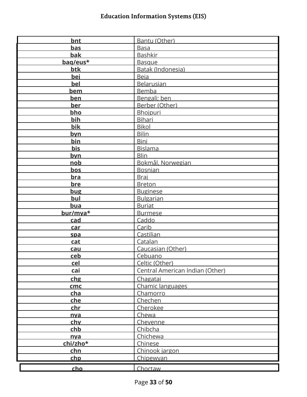| <b>bnt</b> | Bantu (Other)                   |
|------------|---------------------------------|
| <b>bas</b> | <b>Basa</b>                     |
| <b>bak</b> | <b>Bashkir</b>                  |
| bag/eus*   | <b>Basque</b>                   |
| btk        | Batak (Indonesia)               |
| bei        | <b>Beja</b>                     |
| <b>bel</b> | <b>Belarusian</b>               |
| <u>bem</u> | Bemba                           |
| <u>ben</u> | Bengali; ben                    |
| ber        | Berber (Other)                  |
| bho        | Bhojpuri                        |
| bih        | <b>Bihari</b>                   |
| bik        | <b>Bikol</b>                    |
| <u>byn</u> | <b>Bilin</b>                    |
| bin        | <b>Bini</b>                     |
| <b>bis</b> | <b>Bislama</b>                  |
| byn        | <b>Blin</b>                     |
| <u>nob</u> | Bokmål, Norwegian               |
| bos        | <b>Bosnian</b>                  |
| <u>bra</u> | Braj                            |
| bre        | <b>Breton</b>                   |
| bug        | <b>Buginese</b>                 |
| bul        | <b>Bulgarian</b>                |
| <u>bua</u> | <b>Buriat</b>                   |
| bur/mya*   | <b>Burmese</b>                  |
| <u>cad</u> | Caddo                           |
| car        | Carib                           |
|            | Castilian                       |
| spa        | Catalan                         |
| cat        |                                 |
| cau        | Caucasian (Other)               |
| ceb<br>cel | Cebuano                         |
|            | Celtic (Other)                  |
| cai        | Central American Indian (Other) |
| chg        | Chagatai                        |
| cmc        | Chamic languages                |
| cha        | Chamorro                        |
| <u>che</u> | Chechen                         |
| chr        | Cherokee                        |
| <u>nva</u> | Chewa                           |
| chy        | Chevenne                        |
| chb        | Chibcha                         |
| nva        | Chichewa                        |
| chi/zho*   | Chinese                         |
| <u>chn</u> | Chinook jargon                  |
| <u>chp</u> | Chipewyan                       |
|            |                                 |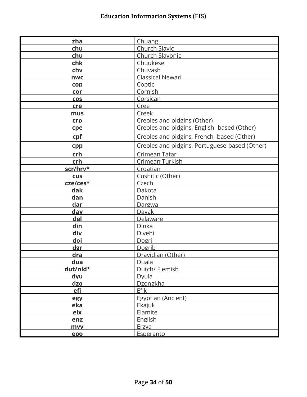| zha        | Chuang                                        |
|------------|-----------------------------------------------|
| chu        | Church Slavic                                 |
| chu        | Church Slavonic                               |
| chk        | Chuukese                                      |
| chv        | Chuvash                                       |
| <b>nwc</b> | <b>Classical Newari</b>                       |
| cop        | Coptic                                        |
| cor        | Cornish                                       |
| <b>COS</b> | Corsican                                      |
| cre        | Cree                                          |
| mus        | Creek                                         |
| crp        | Creoles and pidgins (Other)                   |
| cpe        | Creoles and pidgins, English- based (Other)   |
| cpf        | Creoles and pidgins, French- based (Other)    |
| cpp        | Creoles and pidgins, Portuguese-based (Other) |
| crh        | Crimean Tatar                                 |
| crh        | Crimean Turkish                               |
| scr/hrv*   | Croatian                                      |
| <b>CUS</b> | Cushitic (Other)                              |
| cze/ces*   | Czech                                         |
| dak        | Dakota                                        |
| dan        | Danish                                        |
| dar        | Dargwa                                        |
| day        | Dayak                                         |
| del        | Delaware                                      |
| din        | Dinka                                         |
| div        | Divehi                                        |
| doi        | Dogri                                         |
| dgr        | Dogrib                                        |
| <u>dra</u> | Dravidian (Other)                             |
| dua        | Duala                                         |
| dut/nld*   | Dutch/ Flemish                                |
| dyu        | Dyula                                         |
| dzo        | Dzongkha                                      |
| efi        | <b>Efik</b>                                   |
| egy        | Egyptian (Ancient)                            |
| eka        | Ekajuk                                        |
| <u>elx</u> | Elamite                                       |
| eng        | <b>English</b>                                |
| <b>myv</b> | Erzya                                         |
| epo        | Esperanto                                     |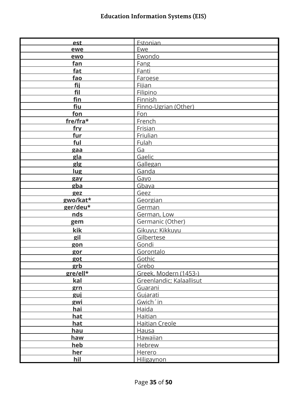| est        | Estonian                 |
|------------|--------------------------|
| ewe        | Ewe                      |
| ewo        | Ewondo                   |
| fan        | Fang                     |
| fat        | Fanti                    |
| fao        | Faroese                  |
| fij        | <b>Fijian</b>            |
| fil        | Filipino                 |
| fin        | Finnish                  |
| <b>fiu</b> | Finno-Ugrian (Other)     |
| fon        | Fon                      |
| fre/fra*   | French                   |
| fry        | Frisian                  |
| fur        | Friulian                 |
| ful        | <b>Fulah</b>             |
| gaa        | Ga                       |
| gla        | Gaelic                   |
| glg        | Gallegan                 |
| lug        | Ganda                    |
| gay        | Gayo                     |
| gba        | Gbaya                    |
| gez        | Geez                     |
| gwo/kat*   | Georgian                 |
| ger/deu*   | German                   |
| nds        | German, Low              |
| gem        | Germanic (Other)         |
| kik        | Gikuyu: Kikkuyu          |
| gil        | Gilbertese               |
| gon        | Gondi                    |
| gor        | Gorontalo                |
| got        | Gothic                   |
| grb        | Grebo                    |
| gre/ell*   | Greek, Modern (1453-)    |
| kal        | Greenlandic; Kalaallisut |
| grn        | Guarani                  |
| guj        | Gujarati                 |
| gwi        | Gwich in                 |
| hai        | Haida                    |
| <b>hat</b> | Haitian                  |
| hat        | <b>Haitian Creole</b>    |
| <u>hau</u> | Hausa                    |
| haw        | <b>Hawaiian</b>          |
| heb        | Hebrew                   |
| her        | Herero                   |
| hil        | Hiligaynon               |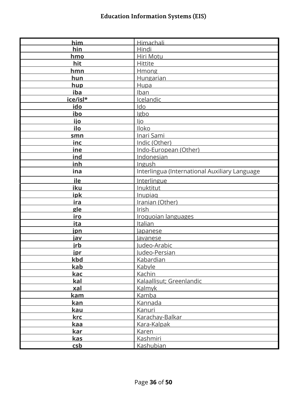| him        | Himachali                                     |
|------------|-----------------------------------------------|
| hin        | Hindi                                         |
| hmo        | Hiri Motu                                     |
| hit        | Hittite                                       |
| hmn        | Hmong                                         |
| hun        | <b>Hungarian</b>                              |
| hup        | Hupa                                          |
| iba        | Iban                                          |
| ice/isl*   | Icelandic                                     |
| ido        | Ido                                           |
| ibo        | Igbo                                          |
| <u>ijo</u> | ljo                                           |
| ilo        | <b>Iloko</b>                                  |
| smn        | <b>Inari Sami</b>                             |
| <u>inc</u> | Indic (Other)                                 |
| ine        | Indo-European (Other)                         |
| ind        | Indonesian                                    |
| inh        | Ingush                                        |
| ina        | Interlingua (International Auxiliary Language |
| ile        | Interlingue                                   |
| iku        | Inuktitut                                     |
| ipk        | Inupiag                                       |
| <u>ira</u> | Iranian (Other)                               |
| gle        | Irish                                         |
| iro        | Iroquoian languages                           |
| ita        | Italian                                       |
| <u>ipn</u> | <i>lapanese</i>                               |
| jav        | <u>lavanese</u>                               |
| jrb        | Judeo-Arabic                                  |
| ipr        | Judeo-Persian                                 |
| kbd        | <b>Kabardian</b>                              |
| <b>kab</b> | Kabyle                                        |
| kac        | <b>Kachin</b>                                 |
| kal        | Kalaallisut; Greenlandic                      |
| xal        | Kalmyk                                        |
| <u>kam</u> | Kamba                                         |
| kan        | <b>Kannada</b>                                |
| <u>kau</u> | Kanuri                                        |
| krc        | Karachay-Balkar                               |
| kaa        | Kara-Kalpak                                   |
| <u>kar</u> | Karen                                         |
| kas        | Kashmiri                                      |
| csb        | Kashubian                                     |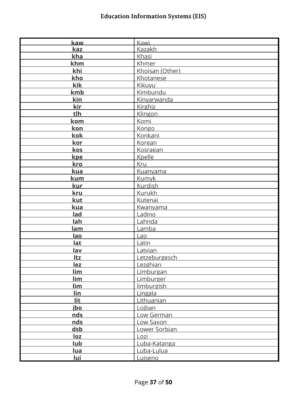| kaw        | Kawi            |
|------------|-----------------|
| kaz        | Kazakh          |
| kha        | Khasi           |
| khm        | <b>Khmer</b>    |
| khi        | Khoisan (Other) |
| kho        | Khotanese       |
| kik        | Kikuyu          |
| kmb        | Kimbundu        |
| <u>kin</u> | Kinyarwanda     |
| kir        | Kirghiz         |
| tlh        | Klingon         |
| <u>kom</u> | Komi            |
| kon        | Kongo           |
| kok        | Konkani         |
| kor        | Korean          |
| kos        | <b>Kosraean</b> |
| kpe        | Kpelle          |
| kro        | Kru             |
| kua        | <b>Kuanyama</b> |
| <b>kum</b> | Kumyk           |
| kur        | <b>Kurdish</b>  |
| kru        | Kurukh          |
| kut        | Kutenai         |
| kua        | Kwanyama        |
| lad        | Ladino          |
| lah        | Lahnda          |
| lam        | Lamba           |
| lao        | Lao             |
| lat        | Latin           |
| lav        | Latvian         |
| Itz        | Letzeburgesch   |
| <u>lez</u> | Lezghian        |
| <u>lim</u> | Limburgan       |
| <u>lim</u> | Limburger       |
| <u>lim</u> | limburgish      |
| <u>lin</u> | Lingala         |
| <u>lit</u> | Lithuanian      |
| jbo        | Lojban          |
| <u>nds</u> | Low German      |
| nds        | Low Saxon       |
| <u>dsb</u> | Lower Sorbian   |
| loz        | Lozi            |
| <u>lub</u> | Luba-Katanga    |
| <u>lua</u> | Luba-Lulua      |
| <u>lui</u> | Luiseno         |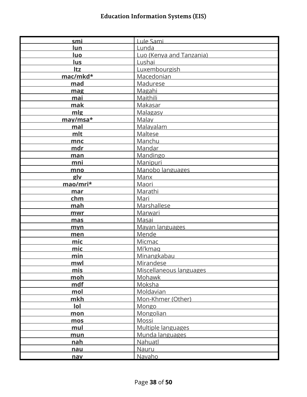| smi        | Lule Sami                |
|------------|--------------------------|
| lun        | Lunda                    |
| luo        | Luo (Kenya and Tanzania) |
| lus        | Lushai                   |
| Itz        | Luxembourgish            |
| mac/mkd*   | Macedonian               |
| mad        | Madurese                 |
| mag        | Magahi                   |
| mai        | Maithili                 |
| mak        | <b>Makasar</b>           |
| mlg        | <b>Malagasy</b>          |
| may/msa*   | Malay                    |
| mal        | Malayalam                |
| mlt        | <b>Maltese</b>           |
| mnc        | Manchu                   |
| mdr        | Mandar                   |
| man        | Mandingo                 |
| mni        | Manipuri                 |
| mno        | Manobo languages         |
| glv        | Manx                     |
| mao/mri*   | Maori                    |
| mar        | Marathi                  |
| chm        | Mari                     |
| mah        | Marshallese              |
| mwr        | <b>Marwari</b>           |
| mas        | Masai                    |
| myn        | Mayan languages          |
| men        | Mende                    |
| mic        | Micmac                   |
| mic        | Mi'kmag                  |
| min        | Minangkabau              |
| mwl        | <b>Mirandese</b>         |
| mis        | Miscellaneous languages  |
| <u>moh</u> | Mohawk                   |
| mdf        | <u>Moksha</u>            |
| mol        | Moldavian                |
| mkh        | Mon-Khmer (Other)        |
| lol        | Mongo                    |
| mon        | Mongolian                |
| mos        | Mossi                    |
| mul        | Multiple languages       |
| mun        | Munda languages          |
| <u>nah</u> | Nahuatl                  |
| <u>nau</u> | <b>Nauru</b>             |
| nav        | Navaho                   |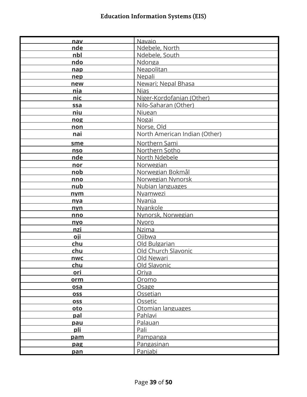| nav        | <b>Navaio</b>                 |
|------------|-------------------------------|
| nde        | Ndebele, North                |
| nbl        | Ndebele, South                |
| ndo        | Ndonga                        |
| nap        | Neapolitan                    |
| nep        | Nepali                        |
| new        | Newari; Nepal Bhasa           |
| nia        | <b>Nias</b>                   |
| nic        | Niger-Kordofanian (Other)     |
| ssa        | Nilo-Saharan (Other)          |
| niu        | Niuean                        |
| nog        | Nogai                         |
| non        | Norse, Old                    |
| nai        | North American Indian (Other) |
| sme        | Northern Sami                 |
| nso        | Northern Sotho                |
| nde        | North Ndebele                 |
| nor        | Norwegian                     |
| nob        | Norwegian Bokmål              |
| nno        | Norwegian Nynorsk             |
| nub        | Nubian languages              |
| nym        | Nyamwezi                      |
| nya        | Nyanja                        |
| nyn        | <b>Nyankole</b>               |
| nno        | Nynorsk, Norwegian            |
| nyo        | Nyoro                         |
| nzi        | <b>Nzima</b>                  |
| <u>oji</u> | Ojibwa                        |
| chu        | Old Bulgarian                 |
| chu        | Old Church Slavonic           |
| nwc        | Old Newari                    |
| chu        | Old Slavonic                  |
| ori        | Oriya                         |
| orm        | Oromo                         |
| <u>osa</u> | Osage                         |
| <b>OSS</b> | <b>Ossetian</b>               |
| <b>OSS</b> | Ossetic                       |
| oto        | Otomian languages             |
| pal        | Pahlavi                       |
| pau        | Palauan                       |
| pli        | Pali                          |
| pam        | Pampanga                      |
| pag        | Pangasinan                    |
|            | Panjabi                       |
| pan        |                               |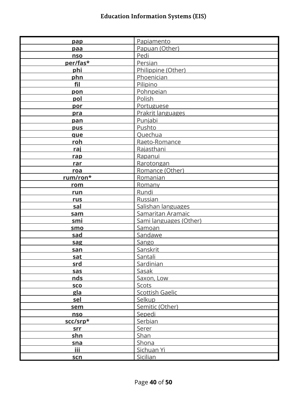| pap        | Papiamento             |
|------------|------------------------|
| paa        | Papuan (Other)         |
| nso        | Pedi                   |
|            | Persian                |
| per/fas*   |                        |
| phi        | Philippine (Other)     |
| phn        | Phoenician             |
| fil        | Pilipino               |
| pon        | Pohnpeian              |
| pol        | Polish                 |
| por        | Portuguese             |
| pra        | Prakrit languages      |
| pan        | Punjabi                |
| pus        | Pushto                 |
| que        | Quechua                |
| roh        | Raeto-Romance          |
| raj        | Rajasthani             |
| rap        | Rapanui                |
| rar        | Rarotongan             |
| roa        | Romance (Other)        |
| rum/ron*   | Romanian               |
| rom        | Romany                 |
| run        | Rundi                  |
| <b>rus</b> | Russian                |
| sal        | Salishan languages     |
| sam        | Samaritan Aramaic      |
| smi        | Sami languages (Other) |
| smo        | Samoan                 |
| sad        | Sandawe                |
| sag        | Sango                  |
| san        | Sanskrit               |
| sat        | Santali                |
| srd        | Sardinian              |
|            |                        |
| sas<br>nds | Sasak                  |
|            | Saxon, Low             |
| <b>SCO</b> | <b>Scots</b>           |
| gla        | <b>Scottish Gaelic</b> |
| sel        | Selkup                 |
| sem        | Semitic (Other)        |
| <b>nso</b> | Sepedi                 |
| scc/srp*   | Serbian                |
| srr        | <b>Serer</b>           |
| shn        | Shan                   |
| sna        | Shona                  |
| <b>iii</b> | Sichuan Yi             |
| <u>scn</u> | Sicilian               |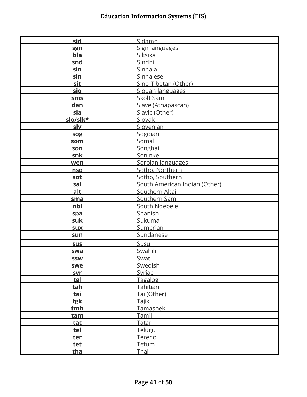| sid        | Sidamo                        |
|------------|-------------------------------|
| sgn        | Sign languages                |
| bla        | Siksika                       |
| snd        | Sindhi                        |
| sin        | Sinhala                       |
|            |                               |
| sin        | Sinhalese                     |
| sit        | Sino-Tibetan (Other)          |
| sio        | Siouan languages              |
| <b>sms</b> | Skolt Sami                    |
| den        | Slave (Athapascan)            |
| sla        | Slavic (Other)                |
| slo/slk*   | Slovak                        |
| slv        | Slovenian                     |
| sog        | Sogdian                       |
| som        | Somali                        |
| son        | Songhai                       |
| snk        | Soninke                       |
| wen        | Sorbian languages             |
| nso        | Sotho, Northern               |
| sot        | Sotho, Southern               |
| sai        | South American Indian (Other) |
| alt        | Southern Altai                |
| sma        | Southern Sami                 |
| nbl        | South Ndebele                 |
| spa        | Spanish                       |
| suk        | Sukuma                        |
| <b>SUX</b> | Sumerian                      |
| sun        | Sundanese                     |
| sus        | Susu                          |
| swa        | Swahili                       |
| <b>SSW</b> | Swati                         |
| swe        | Swedish                       |
| syr        | Syriac                        |
| tgl        | Tagalog                       |
| tah        | Tahitian                      |
| tai        | Tai (Other)                   |
| tgk        | Tajik                         |
| tmh        | Tamashek                      |
| tam        | Tamil                         |
|            | Tatar                         |
| tat        | Telugu                        |
| tel        |                               |
| ter        | Tereno                        |
| tet        | Tetum                         |
| tha        | Thai                          |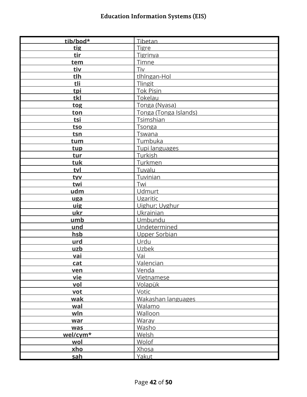| tib/bod*   | Tibetan               |
|------------|-----------------------|
| tig        | <b>Tigre</b>          |
| tir        | Tigrinya              |
| tem        | Timne                 |
| tiv        | Tiv                   |
| tlh        | tlhingan-Hol          |
| tli        | Tlingit               |
| tpi        | <b>Tok Pisin</b>      |
| tkl        | <b>Tokelau</b>        |
| tog        | Tonga (Nyasa)         |
| ton        | Tonga (Tonga Islands) |
| tsi        | <b>Tsimshian</b>      |
| tso        | <b>Tsonga</b>         |
| tsn        | Tswana                |
| tum        | Tumbuka               |
| tup        | Tupi languages        |
| tur        | Turkish               |
| tuk        | <b>Turkmen</b>        |
| tvl        | Tuvalu                |
| tyv        | <b>Tuvinian</b>       |
| twi        | Twi                   |
| udm        | <b>Udmurt</b>         |
| uga        | Ugaritic              |
| uig        | Uighur; Uyghur        |
| ukr        | Ukrainian             |
| umb        | Umbundu               |
| und        | Undetermined          |
| hsb        | Upper Sorbian         |
| urd        | Urdu                  |
| uzb        | Uzbek                 |
| vai        | Vai                   |
| cat        | <b>Valencian</b>      |
| ven        | Venda                 |
| <u>vie</u> | Vietnamese            |
| vol        | <u>Volapük</u>        |
| vot        | Votic                 |
| wak        | Wakashan languages    |
| wal        | Walamo                |
| wln        | <b>Walloon</b>        |
| war        | Waray                 |
| <b>was</b> | Washo                 |
| wel/cym*   | <b>Welsh</b>          |
| wol        | <b>Wolof</b>          |
| xho        | Xhosa                 |
| sah        | Yakut                 |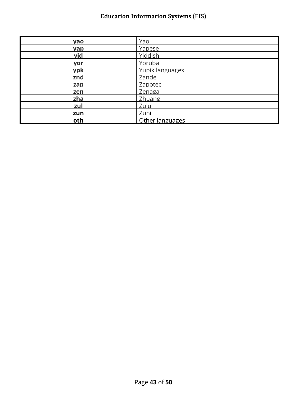| <b>yao</b> | Yao             |
|------------|-----------------|
| <b>yap</b> | Yapese          |
| yid        | Yiddish         |
| yor        | Yoruba          |
| ypk        | Yupik languages |
| znd        | Zande           |
| zap        | Zapotec         |
| zen        | <b>Zenaga</b>   |
| zha        | <b>Zhuang</b>   |
| zul        | Zulu            |
| zun        | Zuni            |
| oth        | Other languages |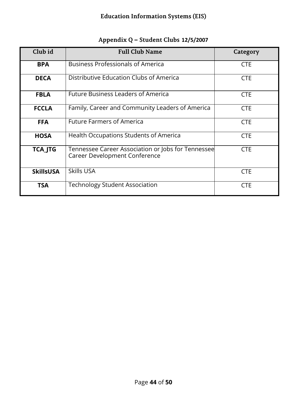<span id="page-43-0"></span>

| Club id          | <b>Full Club Name</b>                                                               | Category   |
|------------------|-------------------------------------------------------------------------------------|------------|
| <b>BPA</b>       | <b>Business Professionals of America</b>                                            | <b>CTE</b> |
| <b>DECA</b>      | Distributive Education Clubs of America                                             | <b>CTE</b> |
| <b>FBLA</b>      | <b>Future Business Leaders of America</b>                                           | <b>CTE</b> |
| <b>FCCLA</b>     | Family, Career and Community Leaders of America                                     | <b>CTE</b> |
| <b>FFA</b>       | <b>Future Farmers of America</b>                                                    | <b>CTE</b> |
| <b>HOSA</b>      | Health Occupations Students of America                                              | <b>CTE</b> |
| <b>TCA_JTG</b>   | Tennessee Career Association or Jobs for Tennessee<br>Career Development Conference | <b>CTE</b> |
| <b>SkillsUSA</b> | Skills USA                                                                          | <b>CTE</b> |
| <b>TSA</b>       | <b>Technology Student Association</b>                                               | <b>CTE</b> |

# **Appendix Q – Student Clubs 12/5/2007**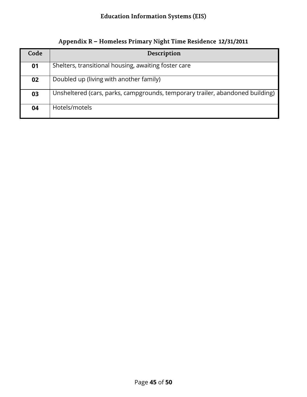<span id="page-44-0"></span>

| Code | Description                                                                   |
|------|-------------------------------------------------------------------------------|
| 01   | Shelters, transitional housing, awaiting foster care                          |
| 02   | Doubled up (living with another family)                                       |
| 03   | Unsheltered (cars, parks, campgrounds, temporary trailer, abandoned building) |
| 04   | Hotels/motels                                                                 |

**Appendix R – Homeless Primary Night Time Residence 12/31/2011**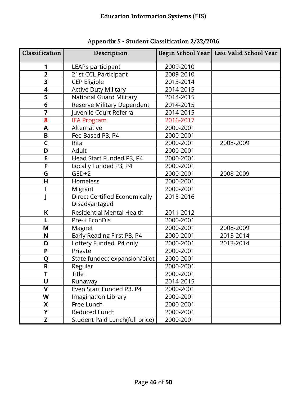<span id="page-45-0"></span>

| Classification          | Description                                           |                        | Begin School Year   Last Valid School Year |
|-------------------------|-------------------------------------------------------|------------------------|--------------------------------------------|
| 1                       | LEAPs participant                                     | 2009-2010              |                                            |
| $\overline{2}$          | 21st CCL Participant                                  | 2009-2010              |                                            |
| $\overline{\mathbf{3}}$ | <b>CEP Eligible</b>                                   | 2013-2014              |                                            |
| $\overline{\mathbf{4}}$ | <b>Active Duty Military</b>                           | 2014-2015              |                                            |
| 5                       | <b>National Guard Military</b>                        | 2014-2015              |                                            |
| 6                       | Reserve Military Dependent                            | 2014-2015              |                                            |
| 7                       | Juvenile Court Referral                               | 2014-2015              |                                            |
| 8                       | <b>IEA Program</b>                                    | 2016-2017              |                                            |
| A                       | Alternative                                           | 2000-2001              |                                            |
| B                       | Fee Based P3, P4                                      | 2000-2001              |                                            |
| $\mathsf{C}$            | Rita                                                  | 2000-2001              | 2008-2009                                  |
| D                       | Adult                                                 | 2000-2001              |                                            |
| E                       | Head Start Funded P3, P4<br>2000-2001                 |                        |                                            |
| F                       | Locally Funded P3, P4<br>2000-2001                    |                        |                                            |
| G                       | $GED+2$<br>2000-2001<br>2000-2001                     |                        | 2008-2009                                  |
| H                       | Homeless                                              |                        |                                            |
|                         | Migrant<br>2000-2001<br>2015-2016                     |                        |                                            |
|                         | <b>Direct Certified Economically</b><br>Disadvantaged |                        |                                            |
|                         | Residential Mental Health<br>K                        |                        |                                            |
| L                       | Pre-K EconDis                                         | 2011-2012<br>2000-2001 |                                            |
| M                       | Magnet                                                | 2000-2001<br>2008-2009 |                                            |
| N                       | Early Reading First P3, P4                            | 2000-2001              | 2013-2014                                  |
| O                       | Lottery Funded, P4 only                               | 2000-2001<br>2013-2014 |                                            |
| P                       | Private<br>2000-2001                                  |                        |                                            |
| Q                       | State funded: expansion/pilot<br>2000-2001            |                        |                                            |
| $\mathsf{R}$            | Regular                                               | 2000-2001              |                                            |
|                         | Title I                                               | 2000-2001              |                                            |
| U                       | Runaway                                               | 2014-2015              |                                            |
| $\mathbf v$             | Even Start Funded P3, P4<br>2000-2001                 |                        |                                            |
| W                       | Imagination Library                                   | 2000-2001              |                                            |
| X                       | Free Lunch                                            | 2000-2001              |                                            |
| Y                       | Reduced Lunch<br>2000-2001                            |                        |                                            |
| Z                       | Student Paid Lunch(full price)                        | 2000-2001              |                                            |

**Appendix S - Student Classification 2/22/2016**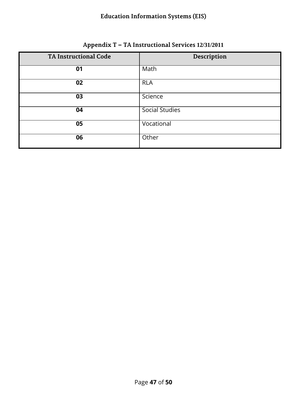<span id="page-46-0"></span>

| <b>TA Instructional Code</b> | Description           |
|------------------------------|-----------------------|
| 01                           | Math                  |
| 02                           | <b>RLA</b>            |
| 03                           | Science               |
| 04                           | <b>Social Studies</b> |
| 05                           | Vocational            |
| 06                           | Other                 |

#### **Appendix T – TA Instructional Services 12/31/2011**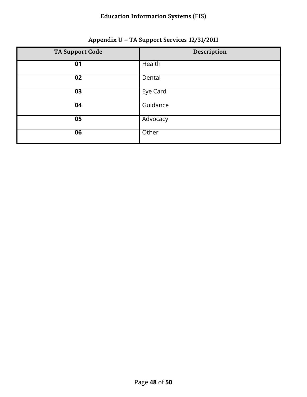<span id="page-47-0"></span>

| <b>TA Support Code</b> | Description |
|------------------------|-------------|
| 01                     | Health      |
| 02                     | Dental      |
| 03                     | Eye Card    |
| 04                     | Guidance    |
| 05                     | Advocacy    |
| 06                     | Other       |

#### **Appendix U – TA Support Services 12/31/2011**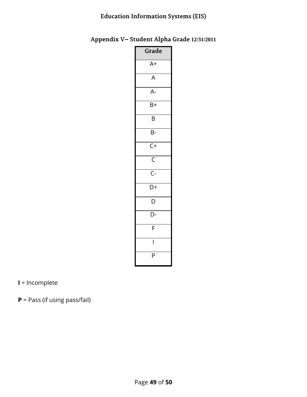#### <span id="page-48-0"></span>**Appendix V– Student Alpha Grade 12/31/2011**

| Grade                   |
|-------------------------|
| $A+$                    |
| $\overline{A}$          |
| $A-$                    |
| $\overline{B+}$         |
| B                       |
| B-                      |
| $\overline{C+}$         |
| $\overline{\mathsf{C}}$ |
| $\overline{C}$ -        |
| D+                      |
| D                       |
| D-                      |
| F                       |
| I                       |
| P                       |

**I** = Incomplete

**P** = Pass (if using pass/fail)